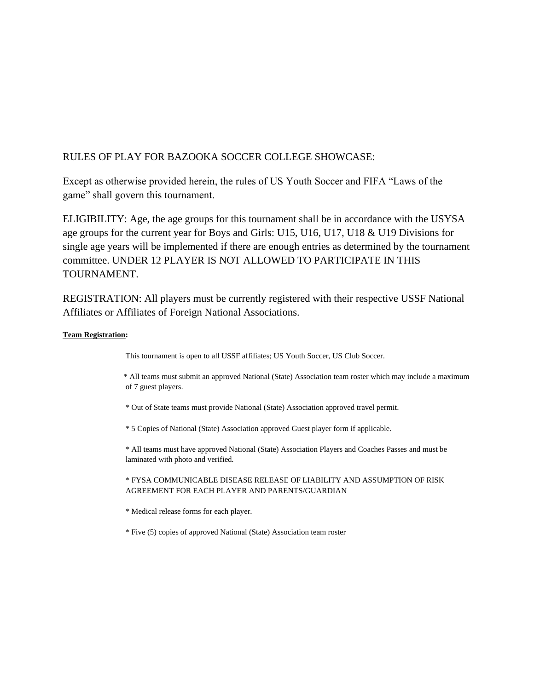# RULES OF PLAY FOR BAZOOKA SOCCER COLLEGE SHOWCASE:

Except as otherwise provided herein, the rules of US Youth Soccer and FIFA "Laws of the game" shall govern this tournament.

ELIGIBILITY: Age, the age groups for this tournament shall be in accordance with the USYSA age groups for the current year for Boys and Girls: U15, U16, U17, U18 & U19 Divisions for single age years will be implemented if there are enough entries as determined by the tournament committee. UNDER 12 PLAYER IS NOT ALLOWED TO PARTICIPATE IN THIS TOURNAMENT.

REGISTRATION: All players must be currently registered with their respective USSF National Affiliates or Affiliates of Foreign National Associations.

# **Team Registration:**

This tournament is open to all USSF affiliates; US Youth Soccer, US Club Soccer.

 \* All teams must submit an approved National (State) Association team roster which may include a maximum of 7 guest players.

\* Out of State teams must provide National (State) Association approved travel permit.

\* 5 Copies of National (State) Association approved Guest player form if applicable.

\* All teams must have approved National (State) Association Players and Coaches Passes and must be laminated with photo and verified.

# \* FYSA COMMUNICABLE DISEASE RELEASE OF LIABILITY AND ASSUMPTION OF RISK AGREEMENT FOR EACH PLAYER AND PARENTS/GUARDIAN

\* Medical release forms for each player.

\* Five (5) copies of approved National (State) Association team roster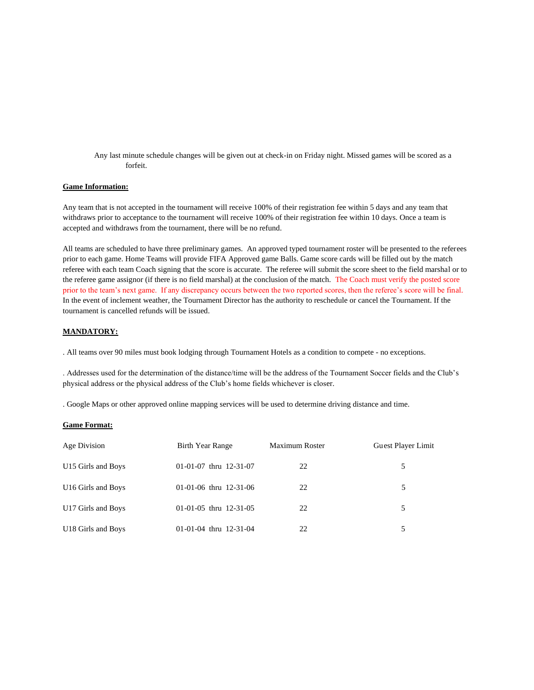Any last minute schedule changes will be given out at check-in on Friday night. Missed games will be scored as a forfeit.

# **Game Information:**

Any team that is not accepted in the tournament will receive 100% of their registration fee within 5 days and any team that withdraws prior to acceptance to the tournament will receive 100% of their registration fee within 10 days. Once a team is accepted and withdraws from the tournament, there will be no refund.

All teams are scheduled to have three preliminary games. An approved typed tournament roster will be presented to the referees prior to each game. Home Teams will provide FIFA Approved game Balls. Game score cards will be filled out by the match referee with each team Coach signing that the score is accurate. The referee will submit the score sheet to the field marshal or to the referee game assignor (if there is no field marshal) at the conclusion of the match. The Coach must verify the posted score prior to the team's next game. If any discrepancy occurs between the two reported scores, then the referee's score will be final. In the event of inclement weather, the Tournament Director has the authority to reschedule or cancel the Tournament. If the tournament is cancelled refunds will be issued.

# **MANDATORY:**

. All teams over 90 miles must book lodging through Tournament Hotels as a condition to compete - no exceptions.

. Addresses used for the determination of the distance/time will be the address of the Tournament Soccer fields and the Club's physical address or the physical address of the Club's home fields whichever is closer.

. Google Maps or other approved online mapping services will be used to determine driving distance and time.

#### **Game Format:**

| Age Division                   | Birth Year Range         | <b>Maximum Roster</b> | Guest Player Limit |  |
|--------------------------------|--------------------------|-----------------------|--------------------|--|
| U15 Girls and Boys             | $01-01-07$ thru 12-31-07 | 22                    | 5                  |  |
| U <sub>16</sub> Girls and Boys | 01-01-06 thru $12-31-06$ | 22                    | 5.                 |  |
| U17 Girls and Boys             | $01-01-05$ thru 12-31-05 | 22                    | 5                  |  |
| U18 Girls and Boys             | 01-01-04 thru $12-31-04$ | 22                    |                    |  |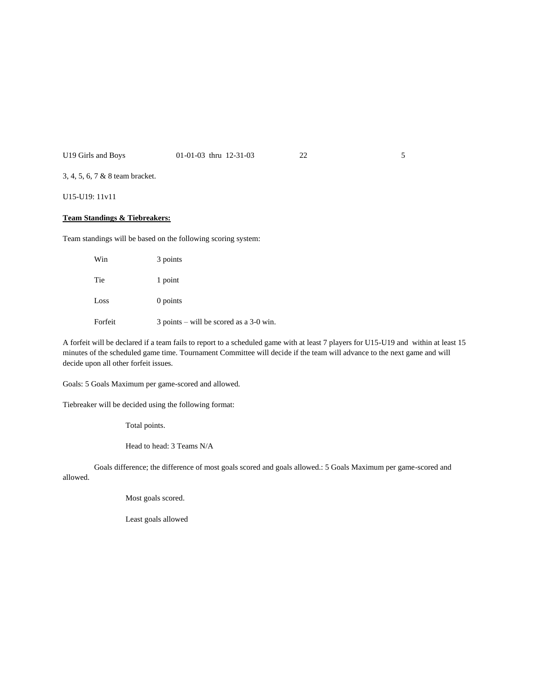# U19 Girls and Boys 01-01-03 thru 12-31-03 22 5

3, 4, 5, 6, 7 & 8 team bracket.

U15-U19: 11v11

# **Team Standings & Tiebreakers:**

Team standings will be based on the following scoring system:

| Win     | 3 points                                    |
|---------|---------------------------------------------|
| Tie     | 1 point                                     |
| Loss    | 0 points                                    |
| Forfeit | $3$ points – will be scored as a $3-0$ win. |

A forfeit will be declared if a team fails to report to a scheduled game with at least 7 players for U15-U19 and within at least 15 minutes of the scheduled game time. Tournament Committee will decide if the team will advance to the next game and will decide upon all other forfeit issues.

Goals: 5 Goals Maximum per game-scored and allowed.

Tiebreaker will be decided using the following format:

Total points.

Head to head: 3 Teams N/A

Goals difference; the difference of most goals scored and goals allowed.: 5 Goals Maximum per game-scored and allowed.

Most goals scored.

Least goals allowed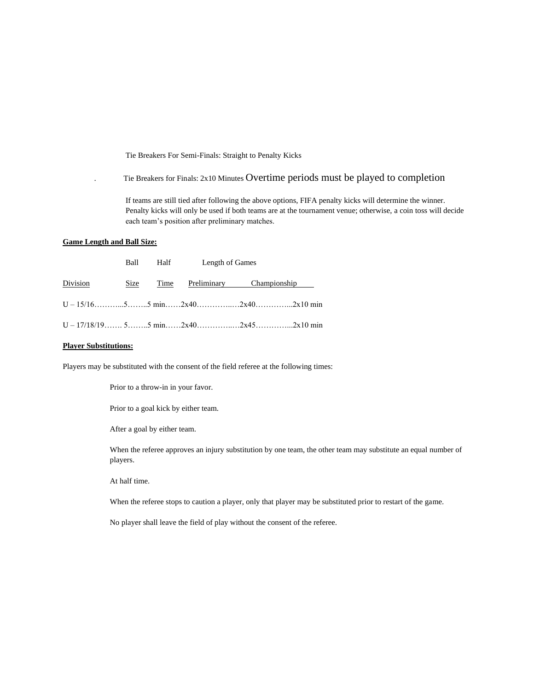Tie Breakers For Semi-Finals: Straight to Penalty Kicks

. Tie Breakers for Finals: 2x10 Minutes Overtime periods must be played to completion

If teams are still tied after following the above options, FIFA penalty kicks will determine the winner. Penalty kicks will only be used if both teams are at the tournament venue; otherwise, a coin toss will decide each team's position after preliminary matches.

# **Game Length and Ball Size:**

|          |      | Ball Half Length of Games            |  |  |
|----------|------|--------------------------------------|--|--|
| Division | Size | <u>Time Preliminary Championship</u> |  |  |
|          |      |                                      |  |  |
|          |      |                                      |  |  |

# **Player Substitutions:**

Players may be substituted with the consent of the field referee at the following times:

Prior to a throw-in in your favor.

Prior to a goal kick by either team.

After a goal by either team.

When the referee approves an injury substitution by one team, the other team may substitute an equal number of players.

At half time.

When the referee stops to caution a player, only that player may be substituted prior to restart of the game.

No player shall leave the field of play without the consent of the referee.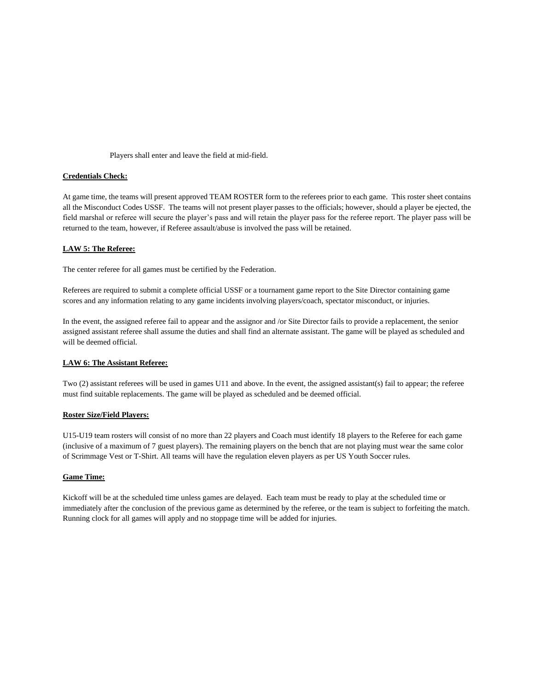### Players shall enter and leave the field at mid-field.

# **Credentials Check:**

At game time, the teams will present approved TEAM ROSTER form to the referees prior to each game. This roster sheet contains all the Misconduct Codes USSF. The teams will not present player passes to the officials; however, should a player be ejected, the field marshal or referee will secure the player's pass and will retain the player pass for the referee report. The player pass will be returned to the team, however, if Referee assault/abuse is involved the pass will be retained.

## **LAW 5: The Referee:**

The center referee for all games must be certified by the Federation.

Referees are required to submit a complete official USSF or a tournament game report to the Site Director containing game scores and any information relating to any game incidents involving players/coach, spectator misconduct, or injuries.

In the event, the assigned referee fail to appear and the assignor and /or Site Director fails to provide a replacement, the senior assigned assistant referee shall assume the duties and shall find an alternate assistant. The game will be played as scheduled and will be deemed official.

#### **LAW 6: The Assistant Referee:**

Two (2) assistant referees will be used in games U11 and above. In the event, the assigned assistant(s) fail to appear; the referee must find suitable replacements. The game will be played as scheduled and be deemed official.

## **Roster Size/Field Players:**

U15-U19 team rosters will consist of no more than 22 players and Coach must identify 18 players to the Referee for each game (inclusive of a maximum of 7 guest players). The remaining players on the bench that are not playing must wear the same color of Scrimmage Vest or T-Shirt. All teams will have the regulation eleven players as per US Youth Soccer rules.

## **Game Time:**

Kickoff will be at the scheduled time unless games are delayed. Each team must be ready to play at the scheduled time or immediately after the conclusion of the previous game as determined by the referee, or the team is subject to forfeiting the match. Running clock for all games will apply and no stoppage time will be added for injuries.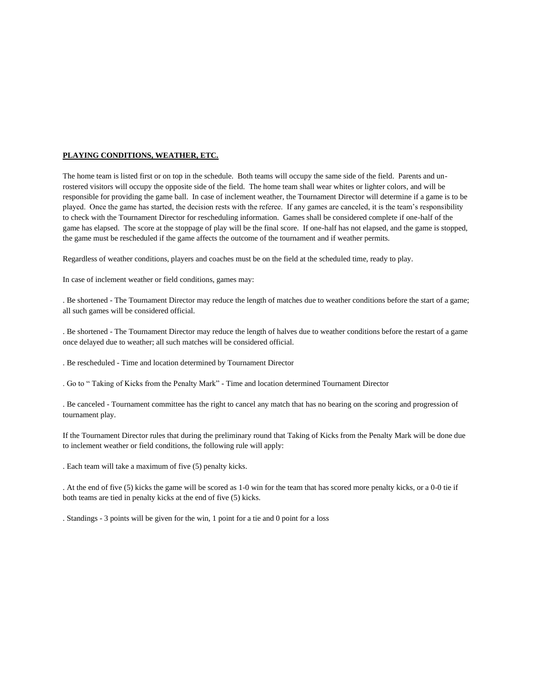# **PLAYING CONDITIONS, WEATHER, ETC.**

The home team is listed first or on top in the schedule. Both teams will occupy the same side of the field. Parents and unrostered visitors will occupy the opposite side of the field. The home team shall wear whites or lighter colors, and will be responsible for providing the game ball. In case of inclement weather, the Tournament Director will determine if a game is to be played. Once the game has started, the decision rests with the referee. If any games are canceled, it is the team's responsibility to check with the Tournament Director for rescheduling information. Games shall be considered complete if one-half of the game has elapsed. The score at the stoppage of play will be the final score. If one-half has not elapsed, and the game is stopped, the game must be rescheduled if the game affects the outcome of the tournament and if weather permits.

Regardless of weather conditions, players and coaches must be on the field at the scheduled time, ready to play.

In case of inclement weather or field conditions, games may:

. Be shortened - The Tournament Director may reduce the length of matches due to weather conditions before the start of a game; all such games will be considered official.

. Be shortened - The Tournament Director may reduce the length of halves due to weather conditions before the restart of a game once delayed due to weather; all such matches will be considered official.

. Be rescheduled - Time and location determined by Tournament Director

. Go to " Taking of Kicks from the Penalty Mark" - Time and location determined Tournament Director

. Be canceled - Tournament committee has the right to cancel any match that has no bearing on the scoring and progression of tournament play.

If the Tournament Director rules that during the preliminary round that Taking of Kicks from the Penalty Mark will be done due to inclement weather or field conditions, the following rule will apply:

. Each team will take a maximum of five (5) penalty kicks.

. At the end of five (5) kicks the game will be scored as 1-0 win for the team that has scored more penalty kicks, or a 0-0 tie if both teams are tied in penalty kicks at the end of five (5) kicks.

. Standings - 3 points will be given for the win, 1 point for a tie and 0 point for a loss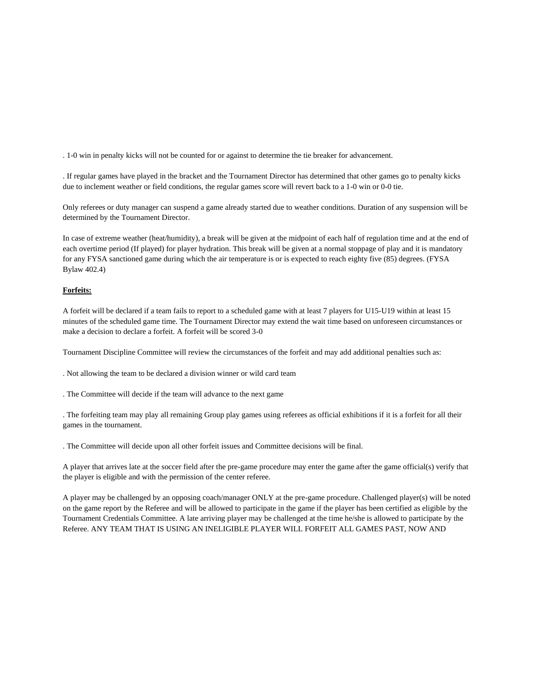. 1-0 win in penalty kicks will not be counted for or against to determine the tie breaker for advancement.

. If regular games have played in the bracket and the Tournament Director has determined that other games go to penalty kicks due to inclement weather or field conditions, the regular games score will revert back to a 1-0 win or 0-0 tie.

Only referees or duty manager can suspend a game already started due to weather conditions. Duration of any suspension will be determined by the Tournament Director.

In case of extreme weather (heat/humidity), a break will be given at the midpoint of each half of regulation time and at the end of each overtime period (If played) for player hydration. This break will be given at a normal stoppage of play and it is mandatory for any FYSA sanctioned game during which the air temperature is or is expected to reach eighty five (85) degrees. (FYSA Bylaw 402.4)

# **Forfeits:**

A forfeit will be declared if a team fails to report to a scheduled game with at least 7 players for U15-U19 within at least 15 minutes of the scheduled game time. The Tournament Director may extend the wait time based on unforeseen circumstances or make a decision to declare a forfeit. A forfeit will be scored 3-0

Tournament Discipline Committee will review the circumstances of the forfeit and may add additional penalties such as:

. Not allowing the team to be declared a division winner or wild card team

. The Committee will decide if the team will advance to the next game

. The forfeiting team may play all remaining Group play games using referees as official exhibitions if it is a forfeit for all their games in the tournament.

. The Committee will decide upon all other forfeit issues and Committee decisions will be final.

A player that arrives late at the soccer field after the pre-game procedure may enter the game after the game official(s) verify that the player is eligible and with the permission of the center referee.

A player may be challenged by an opposing coach/manager ONLY at the pre-game procedure. Challenged player(s) will be noted on the game report by the Referee and will be allowed to participate in the game if the player has been certified as eligible by the Tournament Credentials Committee. A late arriving player may be challenged at the time he/she is allowed to participate by the Referee. ANY TEAM THAT IS USING AN INELIGIBLE PLAYER WILL FORFEIT ALL GAMES PAST, NOW AND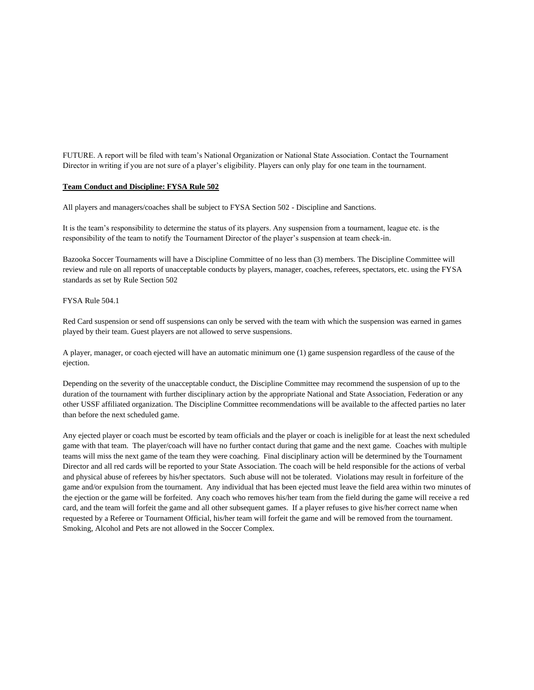FUTURE. A report will be filed with team's National Organization or National State Association. Contact the Tournament Director in writing if you are not sure of a player's eligibility. Players can only play for one team in the tournament.

## **Team Conduct and Discipline: FYSA Rule 502**

All players and managers/coaches shall be subject to FYSA Section 502 - Discipline and Sanctions.

It is the team's responsibility to determine the status of its players. Any suspension from a tournament, league etc. is the responsibility of the team to notify the Tournament Director of the player's suspension at team check-in.

Bazooka Soccer Tournaments will have a Discipline Committee of no less than (3) members. The Discipline Committee will review and rule on all reports of unacceptable conducts by players, manager, coaches, referees, spectators, etc. using the FYSA standards as set by Rule Section 502

## FYSA Rule 504.1

Red Card suspension or send off suspensions can only be served with the team with which the suspension was earned in games played by their team. Guest players are not allowed to serve suspensions.

A player, manager, or coach ejected will have an automatic minimum one (1) game suspension regardless of the cause of the ejection.

Depending on the severity of the unacceptable conduct, the Discipline Committee may recommend the suspension of up to the duration of the tournament with further disciplinary action by the appropriate National and State Association, Federation or any other USSF affiliated organization. The Discipline Committee recommendations will be available to the affected parties no later than before the next scheduled game.

Any ejected player or coach must be escorted by team officials and the player or coach is ineligible for at least the next scheduled game with that team. The player/coach will have no further contact during that game and the next game. Coaches with multiple teams will miss the next game of the team they were coaching. Final disciplinary action will be determined by the Tournament Director and all red cards will be reported to your State Association. The coach will be held responsible for the actions of verbal and physical abuse of referees by his/her spectators. Such abuse will not be tolerated. Violations may result in forfeiture of the game and/or expulsion from the tournament. Any individual that has been ejected must leave the field area within two minutes of the ejection or the game will be forfeited. Any coach who removes his/her team from the field during the game will receive a red card, and the team will forfeit the game and all other subsequent games. If a player refuses to give his/her correct name when requested by a Referee or Tournament Official, his/her team will forfeit the game and will be removed from the tournament. Smoking, Alcohol and Pets are not allowed in the Soccer Complex.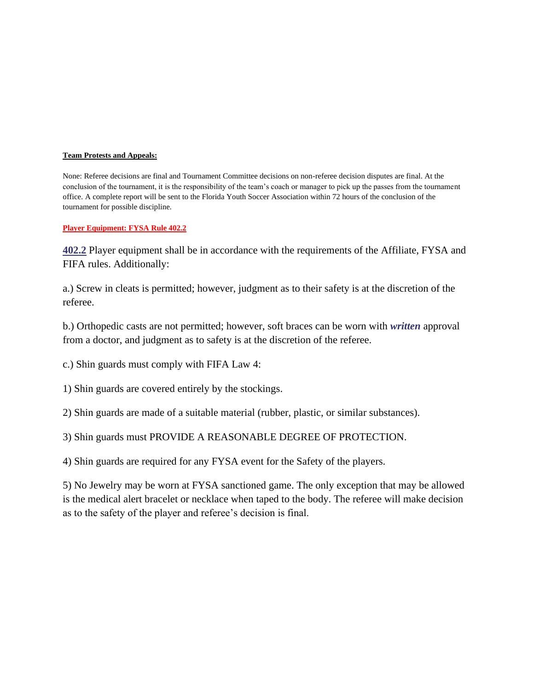# **Team Protests and Appeals:**

None: Referee decisions are final and Tournament Committee decisions on non-referee decision disputes are final. At the conclusion of the tournament, it is the responsibility of the team's coach or manager to pick up the passes from the tournament office. A complete report will be sent to the Florida Youth Soccer Association within 72 hours of the conclusion of the tournament for possible discipline.

# **Player Equipment: FYSA Rule 402.2**

**402.2** Player equipment shall be in accordance with the requirements of the Affiliate, FYSA and FIFA rules. Additionally:

a.) Screw in cleats is permitted; however, judgment as to their safety is at the discretion of the referee.

b.) Orthopedic casts are not permitted; however, soft braces can be worn with *written* approval from a doctor, and judgment as to safety is at the discretion of the referee.

c.) Shin guards must comply with FIFA Law 4:

1) Shin guards are covered entirely by the stockings.

2) Shin guards are made of a suitable material (rubber, plastic, or similar substances).

3) Shin guards must PROVIDE A REASONABLE DEGREE OF PROTECTION.

4) Shin guards are required for any FYSA event for the Safety of the players.

5) No Jewelry may be worn at FYSA sanctioned game. The only exception that may be allowed is the medical alert bracelet or necklace when taped to the body. The referee will make decision as to the safety of the player and referee's decision is final.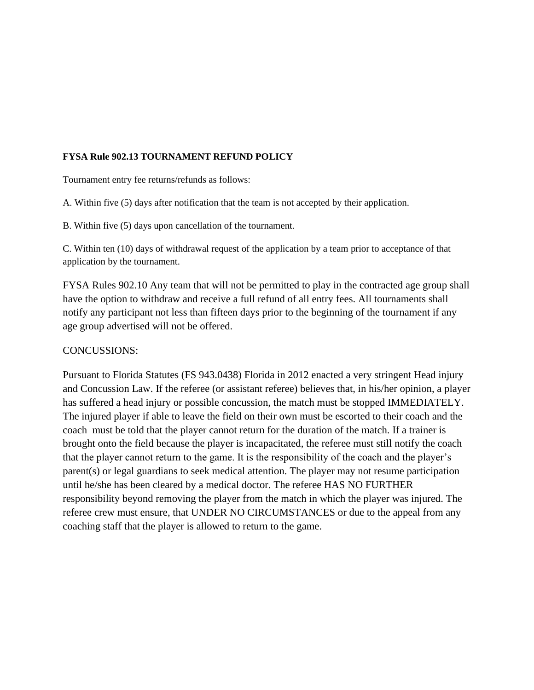# **FYSA Rule 902.13 TOURNAMENT REFUND POLICY**

Tournament entry fee returns/refunds as follows:

A. Within five (5) days after notification that the team is not accepted by their application.

B. Within five (5) days upon cancellation of the tournament.

C. Within ten (10) days of withdrawal request of the application by a team prior to acceptance of that application by the tournament.

FYSA Rules 902.10 Any team that will not be permitted to play in the contracted age group shall have the option to withdraw and receive a full refund of all entry fees. All tournaments shall notify any participant not less than fifteen days prior to the beginning of the tournament if any age group advertised will not be offered.

# CONCUSSIONS:

Pursuant to Florida Statutes (FS 943.0438) Florida in 2012 enacted a very stringent Head injury and Concussion Law. If the referee (or assistant referee) believes that, in his/her opinion, a player has suffered a head injury or possible concussion, the match must be stopped IMMEDIATELY. The injured player if able to leave the field on their own must be escorted to their coach and the coach must be told that the player cannot return for the duration of the match. If a trainer is brought onto the field because the player is incapacitated, the referee must still notify the coach that the player cannot return to the game. It is the responsibility of the coach and the player's parent(s) or legal guardians to seek medical attention. The player may not resume participation until he/she has been cleared by a medical doctor. The referee HAS NO FURTHER responsibility beyond removing the player from the match in which the player was injured. The referee crew must ensure, that UNDER NO CIRCUMSTANCES or due to the appeal from any coaching staff that the player is allowed to return to the game.